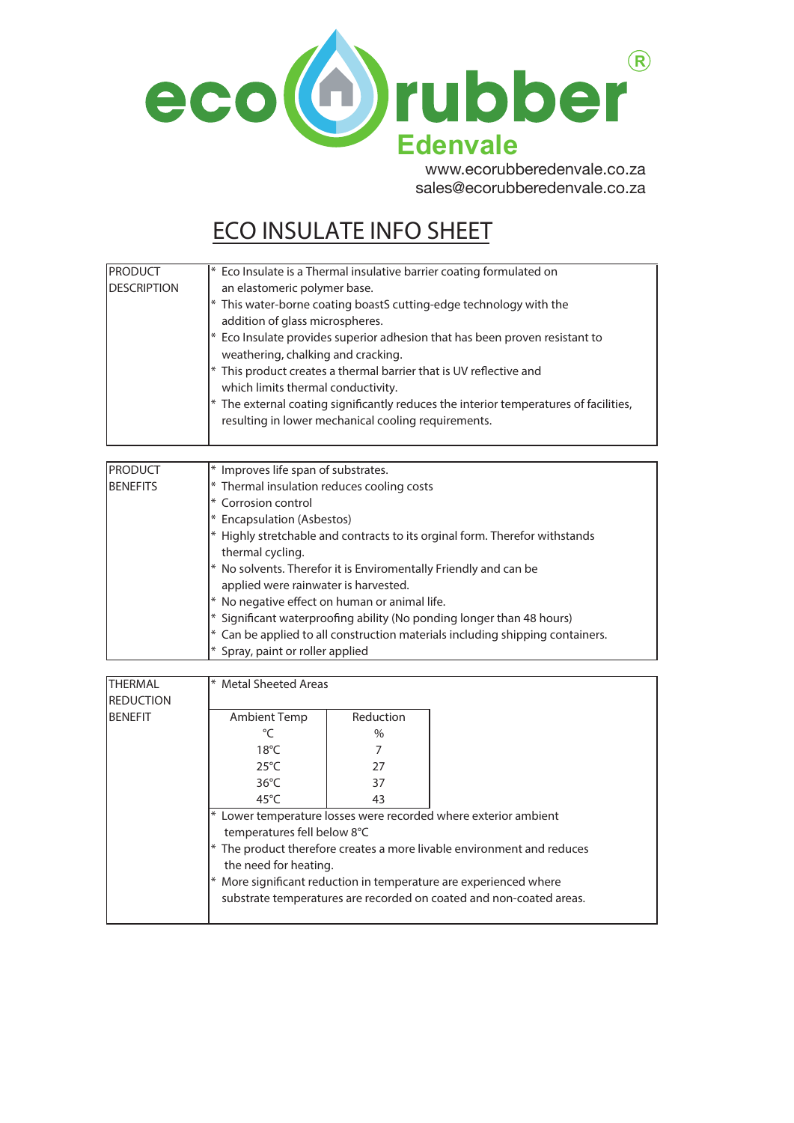

www.ecorubberederivale.c sales@ecorubberedenvale.co.za sales@ecorubberedenvale.co.zawww.ecorubberedenvale.co.za

# **ECO INSULATE INFO SHEET**

| <b>PRODUCT</b>     | $*$ Eco Insulate is a Thermal insulative barrier coating formulated on                  |
|--------------------|-----------------------------------------------------------------------------------------|
| <b>DESCRIPTION</b> | an elastomeric polymer base.                                                            |
|                    | $*$ This water-borne coating boastS cutting-edge technology with the                    |
|                    | addition of glass microspheres.                                                         |
|                    | $*$ Eco Insulate provides superior adhesion that has been proven resistant to           |
|                    | weathering, chalking and cracking.                                                      |
|                    | $*$ This product creates a thermal barrier that is UV reflective and                    |
|                    | which limits thermal conductivity.                                                      |
|                    | $*$ The external coating significantly reduces the interior temperatures of facilities, |
|                    | resulting in lower mechanical cooling requirements.                                     |
|                    |                                                                                         |

| <b>PRODUCT</b>  | * Improves life span of substrates.                                                                    |
|-----------------|--------------------------------------------------------------------------------------------------------|
| <b>BENEFITS</b> | * Thermal insulation reduces cooling costs                                                             |
|                 | Corrosion control<br>∗                                                                                 |
|                 | Encapsulation (Asbestos)                                                                               |
|                 | Highly stretchable and contracts to its orginal form. Therefor withstands<br>thermal cycling.          |
|                 | No solvents. Therefor it is Enviromentally Friendly and can be<br>applied were rainwater is harvested. |
|                 | No negative effect on human or animal life.                                                            |
|                 | * Significant waterproofing ability (No ponding longer than 48 hours)                                  |
|                 | Can be applied to all construction materials including shipping containers.                            |
|                 | * Spray, paint or roller applied                                                                       |

| <b>THERMAL</b>   | <sup>*</sup> Metal Sheeted Areas                                         |               |  |  |  |
|------------------|--------------------------------------------------------------------------|---------------|--|--|--|
| <b>REDUCTION</b> |                                                                          |               |  |  |  |
| <b>BENEFIT</b>   | Ambient Temp                                                             | Reduction     |  |  |  |
|                  | °C                                                                       | $\frac{0}{0}$ |  |  |  |
|                  | $18^{\circ}$ C                                                           |               |  |  |  |
|                  | $25^{\circ}$ C                                                           | 27            |  |  |  |
|                  | $36^{\circ}$ C                                                           | 37            |  |  |  |
|                  | $45^{\circ}$ C                                                           | 43            |  |  |  |
|                  | * Lower temperature losses were recorded where exterior ambient          |               |  |  |  |
|                  | temperatures fell below 8°C                                              |               |  |  |  |
|                  | $*$ The product therefore creates a more livable environment and reduces |               |  |  |  |
|                  | the need for heating.                                                    |               |  |  |  |
|                  | More significant reduction in temperature are experienced where          |               |  |  |  |
|                  | substrate temperatures are recorded on coated and non-coated areas.      |               |  |  |  |
|                  |                                                                          |               |  |  |  |